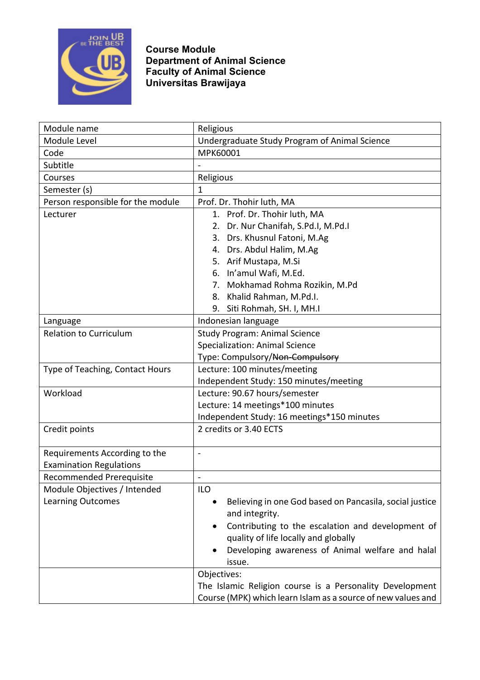

**Course Module Department of Animal Science Faculty of Animal Science Universitas Brawijaya**

| Module name                       | Religious                                                                                 |
|-----------------------------------|-------------------------------------------------------------------------------------------|
| Module Level                      | Undergraduate Study Program of Animal Science                                             |
| Code                              | MPK60001                                                                                  |
| Subtitle                          |                                                                                           |
| Courses                           | Religious                                                                                 |
| Semester (s)                      | 1                                                                                         |
| Person responsible for the module | Prof. Dr. Thohir luth, MA                                                                 |
| Lecturer                          | 1. Prof. Dr. Thohir luth, MA                                                              |
|                                   | 2. Dr. Nur Chanifah, S.Pd.I, M.Pd.I                                                       |
|                                   | 3. Drs. Khusnul Fatoni, M.Ag                                                              |
|                                   | 4. Drs. Abdul Halim, M.Ag                                                                 |
|                                   | 5. Arif Mustapa, M.Si                                                                     |
|                                   | 6. In'amul Wafi, M.Ed.                                                                    |
|                                   | 7. Mokhamad Rohma Rozikin, M.Pd                                                           |
|                                   | 8. Khalid Rahman, M.Pd.I.                                                                 |
|                                   | 9. Siti Rohmah, SH. I, MH.I                                                               |
| Language                          | Indonesian language                                                                       |
| <b>Relation to Curriculum</b>     | <b>Study Program: Animal Science</b>                                                      |
|                                   | <b>Specialization: Animal Science</b>                                                     |
|                                   | Type: Compulsory/Non-Compulsory                                                           |
| Type of Teaching, Contact Hours   | Lecture: 100 minutes/meeting                                                              |
|                                   | Independent Study: 150 minutes/meeting                                                    |
| Workload                          | Lecture: 90.67 hours/semester                                                             |
|                                   | Lecture: 14 meetings*100 minutes                                                          |
|                                   | Independent Study: 16 meetings*150 minutes                                                |
| Credit points                     | 2 credits or 3.40 ECTS                                                                    |
|                                   |                                                                                           |
| Requirements According to the     | $\overline{\phantom{a}}$                                                                  |
| <b>Examination Regulations</b>    |                                                                                           |
| <b>Recommended Prerequisite</b>   |                                                                                           |
| Module Objectives / Intended      | ILO                                                                                       |
| <b>Learning Outcomes</b>          | Believing in one God based on Pancasila, social justice                                   |
|                                   | and integrity.                                                                            |
|                                   | Contributing to the escalation and development of<br>quality of life locally and globally |
|                                   | Developing awareness of Animal welfare and halal                                          |
|                                   | issue.                                                                                    |
|                                   | Objectives:                                                                               |
|                                   | The Islamic Religion course is a Personality Development                                  |
|                                   | Course (MPK) which learn Islam as a source of new values and                              |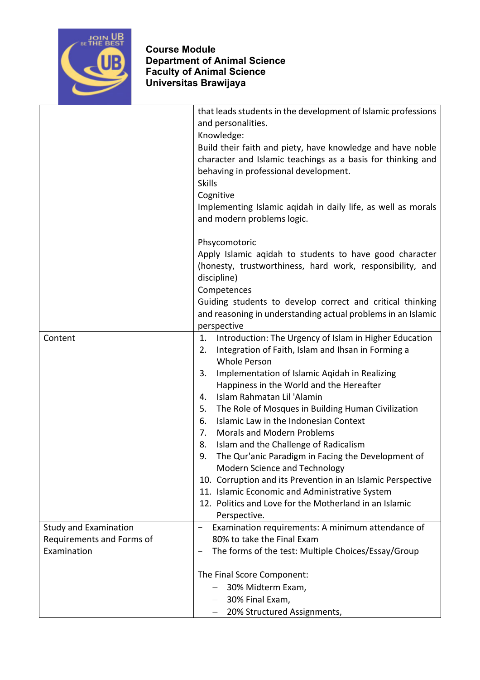

## **Course Module Department of Animal Science Faculty of Animal Science Universitas Brawijaya**

|                              | that leads students in the development of Islamic professions<br>and personalities. |
|------------------------------|-------------------------------------------------------------------------------------|
|                              | Knowledge:                                                                          |
|                              | Build their faith and piety, have knowledge and have noble                          |
|                              | character and Islamic teachings as a basis for thinking and                         |
|                              | behaving in professional development.                                               |
|                              | <b>Skills</b>                                                                       |
|                              | Cognitive                                                                           |
|                              | Implementing Islamic aqidah in daily life, as well as morals                        |
|                              | and modern problems logic.                                                          |
|                              | Phsycomotoric                                                                       |
|                              | Apply Islamic aqidah to students to have good character                             |
|                              | (honesty, trustworthiness, hard work, responsibility, and<br>discipline)            |
|                              | Competences                                                                         |
|                              | Guiding students to develop correct and critical thinking                           |
|                              | and reasoning in understanding actual problems in an Islamic                        |
|                              | perspective                                                                         |
| Content                      | Introduction: The Urgency of Islam in Higher Education<br>1.                        |
|                              | 2.<br>Integration of Faith, Islam and Ihsan in Forming a                            |
|                              | <b>Whole Person</b>                                                                 |
|                              | Implementation of Islamic Aqidah in Realizing<br>3.                                 |
|                              | Happiness in the World and the Hereafter                                            |
|                              | Islam Rahmatan Lil 'Alamin<br>4.                                                    |
|                              | 5.<br>The Role of Mosques in Building Human Civilization                            |
|                              | Islamic Law in the Indonesian Context<br>6.                                         |
|                              | 7.<br><b>Morals and Modern Problems</b>                                             |
|                              | 8.<br>Islam and the Challenge of Radicalism                                         |
|                              | The Qur'anic Paradigm in Facing the Development of<br>9.                            |
|                              | Modern Science and Technology                                                       |
|                              | 10. Corruption and its Prevention in an Islamic Perspective                         |
|                              | 11. Islamic Economic and Administrative System                                      |
|                              | 12. Politics and Love for the Motherland in an Islamic<br>Perspective.              |
| <b>Study and Examination</b> | Examination requirements: A minimum attendance of                                   |
| Requirements and Forms of    | 80% to take the Final Exam                                                          |
| Examination                  | The forms of the test: Multiple Choices/Essay/Group                                 |
|                              | The Final Score Component:                                                          |
|                              | 30% Midterm Exam,                                                                   |
|                              | 30% Final Exam,                                                                     |
|                              | 20% Structured Assignments,                                                         |